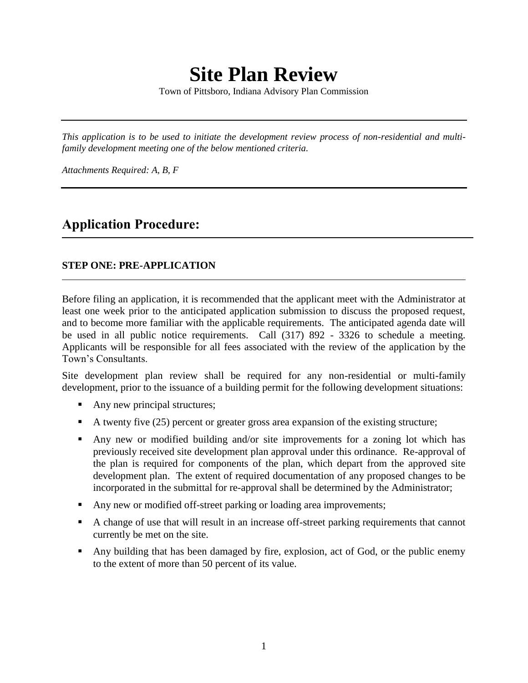# **Site Plan Review**

Town of Pittsboro, Indiana Advisory Plan Commission

*This application is to be used to initiate the development review process of non-residential and multifamily development meeting one of the below mentioned criteria.*

*Attachments Required: A, B, F*

# **Application Procedure:**

#### **STEP ONE: PRE-APPLICATION**

Before filing an application, it is recommended that the applicant meet with the Administrator at least one week prior to the anticipated application submission to discuss the proposed request, and to become more familiar with the applicable requirements. The anticipated agenda date will be used in all public notice requirements. Call (317) 892 - 3326 to schedule a meeting. Applicants will be responsible for all fees associated with the review of the application by the Town's Consultants.

Site development plan review shall be required for any non-residential or multi-family development, prior to the issuance of a building permit for the following development situations:

- Any new principal structures;
- A twenty five  $(25)$  percent or greater gross area expansion of the existing structure;
- Any new or modified building and/or site improvements for a zoning lot which has previously received site development plan approval under this ordinance. Re-approval of the plan is required for components of the plan, which depart from the approved site development plan. The extent of required documentation of any proposed changes to be incorporated in the submittal for re-approval shall be determined by the Administrator;
- Any new or modified off-street parking or loading area improvements;
- A change of use that will result in an increase off-street parking requirements that cannot currently be met on the site.
- Any building that has been damaged by fire, explosion, act of God, or the public enemy to the extent of more than 50 percent of its value.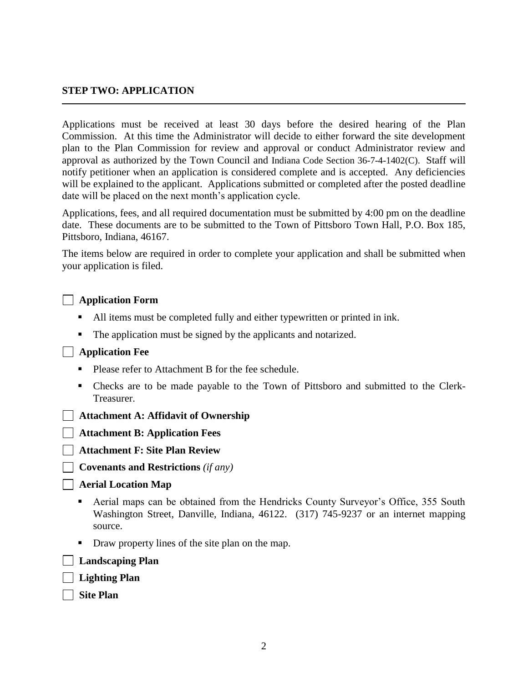#### **STEP TWO: APPLICATION**

Applications must be received at least 30 days before the desired hearing of the Plan Commission. At this time the Administrator will decide to either forward the site development plan to the Plan Commission for review and approval or conduct Administrator review and approval as authorized by the Town Council and Indiana Code Section 36-7-4-1402(C). Staff will notify petitioner when an application is considered complete and is accepted. Any deficiencies will be explained to the applicant. Applications submitted or completed after the posted deadline date will be placed on the next month's application cycle.

Applications, fees, and all required documentation must be submitted by 4:00 pm on the deadline date. These documents are to be submitted to the Town of Pittsboro Town Hall, P.O. Box 185, Pittsboro, Indiana, 46167.

The items below are required in order to complete your application and shall be submitted when your application is filed.

| <b>J</b> Application Form |  |
|---------------------------|--|
|                           |  |

- All items must be completed fully and either typewritten or printed in ink.
- The application must be signed by the applicants and notarized.

#### **Application Fee**

- Please refer to Attachment B for the fee schedule.
- Checks are to be made payable to the Town of Pittsboro and submitted to the Clerk-Treasurer.
- **Attachment A: Affidavit of Ownership**

**Attachment B: Application Fees**

**Attachment F: Site Plan Review**

**Covenants and Restrictions** *(if any)*

#### **Aerial Location Map**

- Aerial maps can be obtained from the Hendricks County Surveyor's Office, 355 South Washington Street, Danville, Indiana, 46122. (317) 745-9237 or an internet mapping source.
- Draw property lines of the site plan on the map.

- **Landscaping Plan**
- **Lighting Plan**
- **Site Plan**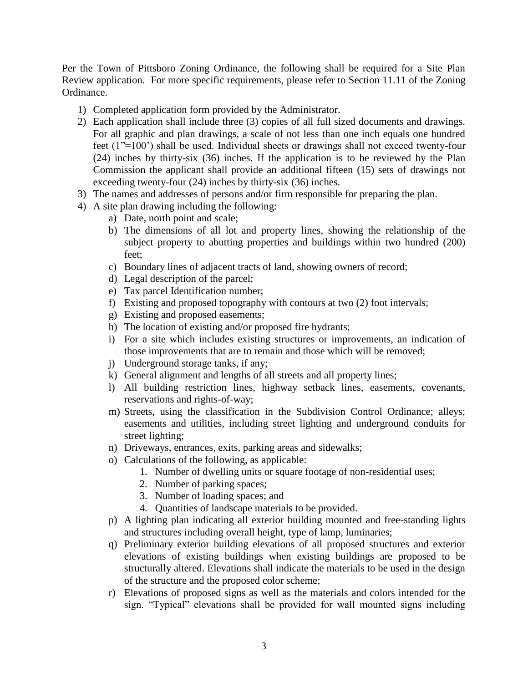Per the Town of Pittsboro Zoning Ordinance, the following shall be required for a Site Plan Review application. For more specific requirements, please refer to Section 11.11 of the Zoning Ordinance.

- 1) Completed application form provided by the Administrator.
- 2) Each application shall include three (3) copies of all full sized documents and drawings. For all graphic and plan drawings, a scale of not less than one inch equals one hundred feet (1"=100') shall be used. Individual sheets or drawings shall not exceed twenty-four (24) inches by thirty-six (36) inches. If the application is to be reviewed by the Plan Commission the applicant shall provide an additional fifteen (15) sets of drawings not exceeding twenty-four (24) inches by thirty-six (36) inches.
- 3) The names and addresses of persons and/or firm responsible for preparing the plan.
- 4) A site plan drawing including the following:
	- a) Date, north point and scale;
	- b) The dimensions of all lot and property lines, showing the relationship of the subject property to abutting properties and buildings within two hundred (200) feet;
	- c) Boundary lines of adjacent tracts of land, showing owners of record;
	- d) Legal description of the parcel;
	- e) Tax parcel Identification number;
	- f) Existing and proposed topography with contours at two (2) foot intervals;
	- g) Existing and proposed easements;
	- h) The location of existing and/or proposed fire hydrants;
	- i) For a site which includes existing structures or improvements, an indication of those improvements that are to remain and those which will be removed;
	- j) Underground storage tanks, if any;
	- k) General alignment and lengths of all streets and all property lines;
	- l) All building restriction lines, highway setback lines, easements, covenants, reservations and rights-of-way;
	- m) Streets, using the classification in the Subdivision Control Ordinance; alleys; easements and utilities, including street lighting and underground conduits for street lighting;
	- n) Driveways, entrances, exits, parking areas and sidewalks;
	- o) Calculations of the following, as applicable:
		- 1. Number of dwelling units or square footage of non-residential uses;
		- 2. Number of parking spaces;
		- 3. Number of loading spaces; and
		- 4. Quantities of landscape materials to be provided.
	- p) A lighting plan indicating all exterior building mounted and free-standing lights and structures including overall height, type of lamp, luminaries;
	- q) Preliminary exterior building elevations of all proposed structures and exterior elevations of existing buildings when existing buildings are proposed to be structurally altered. Elevations shall indicate the materials to be used in the design of the structure and the proposed color scheme;
	- r) Elevations of proposed signs as well as the materials and colors intended for the sign. "Typical" elevations shall be provided for wall mounted signs including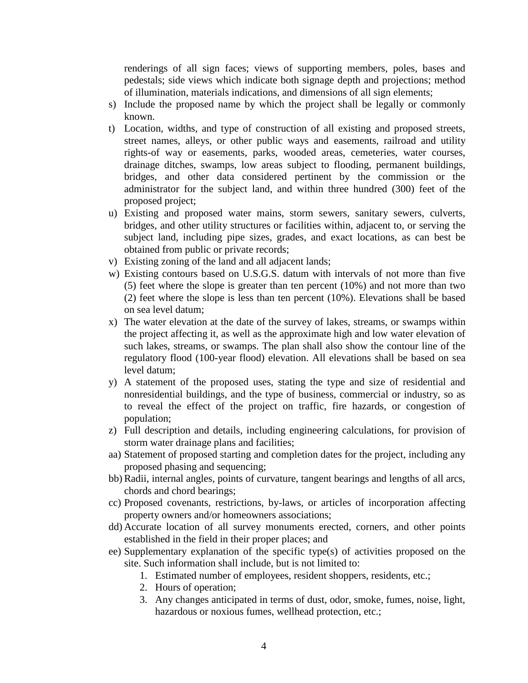renderings of all sign faces; views of supporting members, poles, bases and pedestals; side views which indicate both signage depth and projections; method of illumination, materials indications, and dimensions of all sign elements;

- s) Include the proposed name by which the project shall be legally or commonly known.
- t) Location, widths, and type of construction of all existing and proposed streets, street names, alleys, or other public ways and easements, railroad and utility rights-of way or easements, parks, wooded areas, cemeteries, water courses, drainage ditches, swamps, low areas subject to flooding, permanent buildings, bridges, and other data considered pertinent by the commission or the administrator for the subject land, and within three hundred (300) feet of the proposed project;
- u) Existing and proposed water mains, storm sewers, sanitary sewers, culverts, bridges, and other utility structures or facilities within, adjacent to, or serving the subject land, including pipe sizes, grades, and exact locations, as can best be obtained from public or private records;
- v) Existing zoning of the land and all adjacent lands;
- w) Existing contours based on U.S.G.S. datum with intervals of not more than five (5) feet where the slope is greater than ten percent (10%) and not more than two (2) feet where the slope is less than ten percent (10%). Elevations shall be based on sea level datum;
- x) The water elevation at the date of the survey of lakes, streams, or swamps within the project affecting it, as well as the approximate high and low water elevation of such lakes, streams, or swamps. The plan shall also show the contour line of the regulatory flood (100-year flood) elevation. All elevations shall be based on sea level datum;
- y) A statement of the proposed uses, stating the type and size of residential and nonresidential buildings, and the type of business, commercial or industry, so as to reveal the effect of the project on traffic, fire hazards, or congestion of population;
- z) Full description and details, including engineering calculations, for provision of storm water drainage plans and facilities;
- aa) Statement of proposed starting and completion dates for the project, including any proposed phasing and sequencing;
- bb) Radii, internal angles, points of curvature, tangent bearings and lengths of all arcs, chords and chord bearings;
- cc) Proposed covenants, restrictions, by-laws, or articles of incorporation affecting property owners and/or homeowners associations;
- dd) Accurate location of all survey monuments erected, corners, and other points established in the field in their proper places; and
- ee) Supplementary explanation of the specific type(s) of activities proposed on the site. Such information shall include, but is not limited to:
	- 1. Estimated number of employees, resident shoppers, residents, etc.;
	- 2. Hours of operation;
	- 3. Any changes anticipated in terms of dust, odor, smoke, fumes, noise, light, hazardous or noxious fumes, wellhead protection, etc.;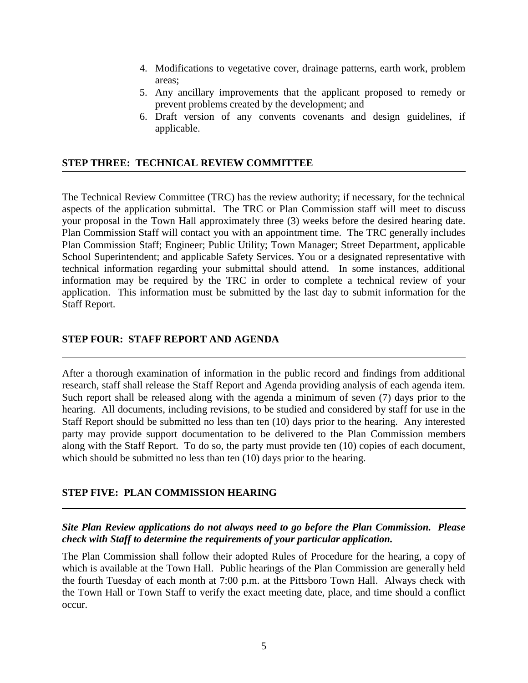- 4. Modifications to vegetative cover, drainage patterns, earth work, problem areas;
- 5. Any ancillary improvements that the applicant proposed to remedy or prevent problems created by the development; and
- 6. Draft version of any convents covenants and design guidelines, if applicable.

#### **STEP THREE: TECHNICAL REVIEW COMMITTEE**

The Technical Review Committee (TRC) has the review authority; if necessary, for the technical aspects of the application submittal. The TRC or Plan Commission staff will meet to discuss your proposal in the Town Hall approximately three (3) weeks before the desired hearing date. Plan Commission Staff will contact you with an appointment time. The TRC generally includes Plan Commission Staff; Engineer; Public Utility; Town Manager; Street Department, applicable School Superintendent; and applicable Safety Services. You or a designated representative with technical information regarding your submittal should attend. In some instances, additional information may be required by the TRC in order to complete a technical review of your application. This information must be submitted by the last day to submit information for the Staff Report.

#### **STEP FOUR: STAFF REPORT AND AGENDA**

After a thorough examination of information in the public record and findings from additional research, staff shall release the Staff Report and Agenda providing analysis of each agenda item. Such report shall be released along with the agenda a minimum of seven (7) days prior to the hearing. All documents, including revisions, to be studied and considered by staff for use in the Staff Report should be submitted no less than ten (10) days prior to the hearing. Any interested party may provide support documentation to be delivered to the Plan Commission members along with the Staff Report. To do so, the party must provide ten (10) copies of each document, which should be submitted no less than ten (10) days prior to the hearing.

#### **STEP FIVE: PLAN COMMISSION HEARING**

#### *Site Plan Review applications do not always need to go before the Plan Commission. Please check with Staff to determine the requirements of your particular application.*

The Plan Commission shall follow their adopted Rules of Procedure for the hearing, a copy of which is available at the Town Hall. Public hearings of the Plan Commission are generally held the fourth Tuesday of each month at 7:00 p.m. at the Pittsboro Town Hall. Always check with the Town Hall or Town Staff to verify the exact meeting date, place, and time should a conflict occur.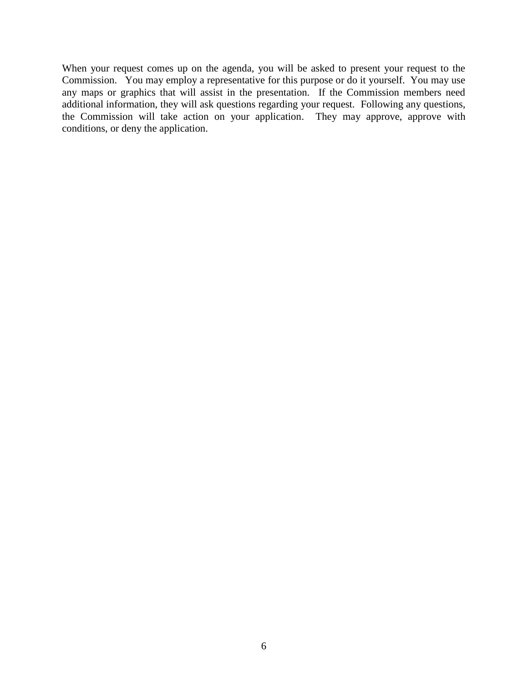When your request comes up on the agenda, you will be asked to present your request to the Commission. You may employ a representative for this purpose or do it yourself. You may use any maps or graphics that will assist in the presentation. If the Commission members need additional information, they will ask questions regarding your request. Following any questions, the Commission will take action on your application. They may approve, approve with conditions, or deny the application.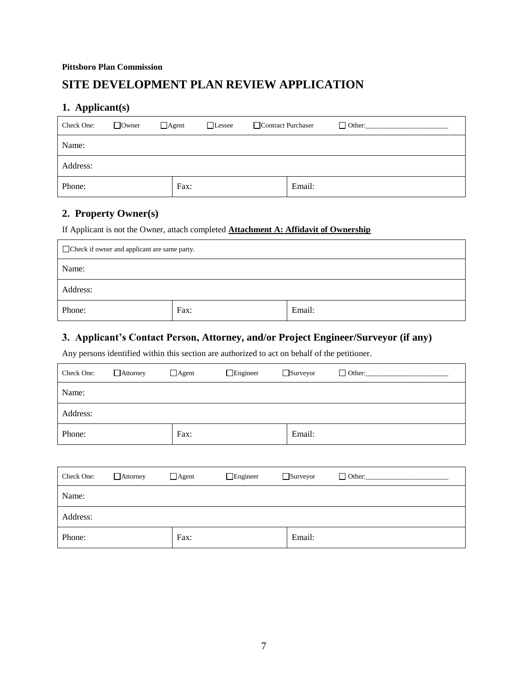## **SITE DEVELOPMENT PLAN REVIEW APPLICATION**

#### **1. Applicant(s)**

| Check One: | $\Box$ Owner | $\Box$ Agent<br>$\Box$ Lessee | Contract Purchaser |        | $\Box$ Other: |
|------------|--------------|-------------------------------|--------------------|--------|---------------|
| Name:      |              |                               |                    |        |               |
| Address:   |              |                               |                    |        |               |
| Phone:     |              | Fax:                          |                    | Email: |               |

### **2. Property Owner(s)**

If Applicant is not the Owner, attach completed **Attachment A: Affidavit of Ownership**

| Check if owner and applicant are same party. |  |  |  |  |  |
|----------------------------------------------|--|--|--|--|--|
| Name:                                        |  |  |  |  |  |
| Address:                                     |  |  |  |  |  |
| Email:<br>Phone:<br>Fax:                     |  |  |  |  |  |

## **3. Applicant's Contact Person, Attorney, and/or Project Engineer/Surveyor (if any)**

Any persons identified within this section are authorized to act on behalf of the petitioner.

| Check One: | $\Box$ Attorney | $\Box$ Agent | $\Box$ Engineer | $\Box$ Surveyor | $\Box$ Other: |
|------------|-----------------|--------------|-----------------|-----------------|---------------|
| Name:      |                 |              |                 |                 |               |
| Address:   |                 |              |                 |                 |               |
| Phone:     |                 | Fax:         |                 | Email:          |               |

| Check One: | $\Box$ Attorney | $\Box$ Agent | $\Box$ Engineer | $\Box$ Surveyor | $\Box$ Other: |
|------------|-----------------|--------------|-----------------|-----------------|---------------|
| Name:      |                 |              |                 |                 |               |
| Address:   |                 |              |                 |                 |               |
| Phone:     |                 | Fax:         |                 | Email:          |               |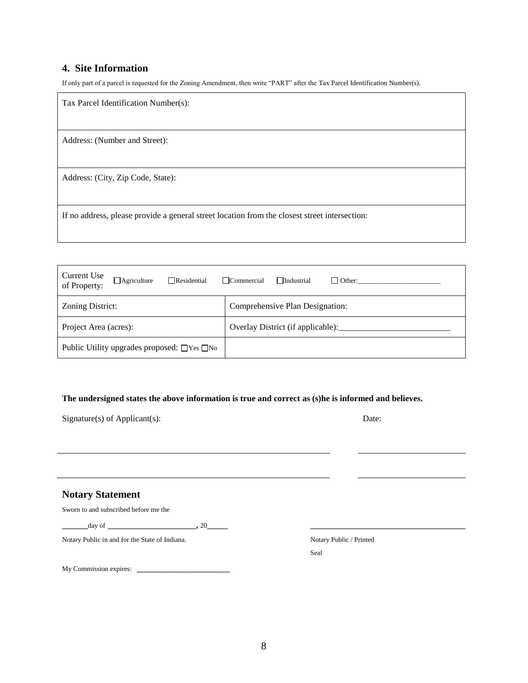#### **4. Site Information**

If only part of a parcel is requested for the Zoning Amendment, then write "PART" after the Tax Parcel Identification Number(s).

| Tax Parcel Identification Number(s):                                                          |
|-----------------------------------------------------------------------------------------------|
| Address: (Number and Street):                                                                 |
| Address: (City, Zip Code, State):                                                             |
| If no address, please provide a general street location from the closest street intersection: |

| Current Use<br>$\Box$ Residential<br>$\Box$ Agriculture<br>of Property: | $\Box$ Commercial<br>$\Box$ Industrial<br>$\Box$ Other: |
|-------------------------------------------------------------------------|---------------------------------------------------------|
| Zoning District:                                                        | Comprehensive Plan Designation:                         |
| Project Area (acres):                                                   | Overlay District (if applicable):                       |
| Public Utility upgrades proposed: $\Box$ Yes $\Box$ No                  |                                                         |

#### **The undersigned states the above information is true and correct as (s)he is informed and believes.**

| Signature(s) of Applicant(s): | Date: |
|-------------------------------|-------|
|                               |       |

#### **Notary Statement**

Sworn to and subscribed before me the

 $\frac{\text{day of}}{\text{day of}}$ 

Notary Public in and for the State of Indiana. Notary Public / Printed

My Commission expires: \_\_\_\_\_\_\_\_\_\_\_\_\_\_\_\_\_\_

Seal